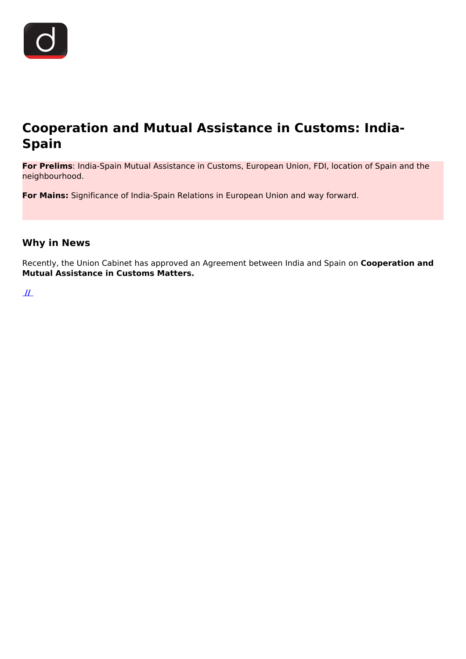

# **Cooperation and Mutual Assistance in Customs: India-Spain**

**For Prelims**: India-Spain Mutual Assistance in Customs, European Union, FDI, location of Spain and the neighbourhood.

**For Mains:** Significance of India-Spain Relations in European Union and way forward.

## **Why in News**

Recently, the Union Cabinet has approved an Agreement between India and Spain on **Cooperation and Mutual Assistance in Customs Matters.**

 **[//](https://www.drishtiias.com/images/uploads/1641550951_Spain_Drishti_IAS_English.png)**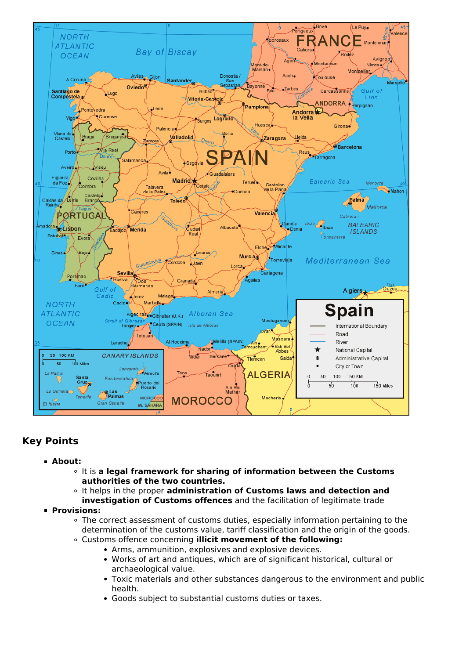

# **Key Points**

- **About:**
	- It is **a legal framework for sharing of information between the Customs authorities of the two countries.**
	- It helps in the proper **administration of Customs laws and detection and**
- **investigation of Customs offences** and the facilitation of legitimate trade **Provisions:**
	- The correct assessment of customs duties, especially information pertaining to the determination of the customs value, tariff classification and the origin of the goods.
	- Customs offence concerning **illicit movement of the following:**
		- Arms, ammunition, explosives and explosive devices.
		- Works of art and antiques, which are of significant historical, cultural or archaeological value.
		- Toxic materials and other substances dangerous to the environment and public health.
		- Goods subject to substantial customs duties or taxes.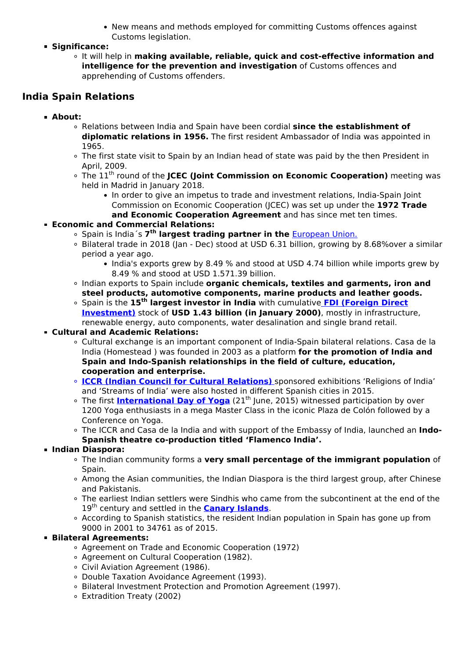- New means and methods employed for committing Customs offences against Customs legislation.
- **Significance:**
	- It will help in **making available, reliable, quick and cost-effective information and intelligence for the prevention and investigation** of Customs offences and apprehending of Customs offenders.

# **India Spain Relations**

- **About:**
	- Relations between India and Spain have been cordial **since the establishment of diplomatic relations in 1956.** The first resident Ambassador of India was appointed in 1965.
	- The first state visit to Spain by an Indian head of state was paid by the then President in April, 2009.
	- <sup>o</sup> The 11<sup>th</sup> round of the **JCEC (Joint Commission on Economic Cooperation)** meeting was held in Madrid in January 2018.
		- In order to give an impetus to trade and investment relations, India-Spain Joint Commission on Economic Cooperation (JCEC) was set up under the **1972 Trade and Economic Cooperation Agreement** and has since met ten times.
- **Economic and Commercial Relations:**
	- Spain is India's 7<sup>th</sup> largest trading partner in the **[European Union.](/daily-updates/daily-news-analysis/trade-and-economic-relation-between-india-and-european-and-oceania-countries)**
	- Bilateral trade in 2018 (Jan Dec) stood at USD 6.31 billion, growing by 8.68%over a similar period a year ago.
		- India's exports grew by 8.49 % and stood at USD 4.74 billion while imports grew by 8.49 % and stood at USD 1.571.39 billion.
	- Indian exports to Spain include **organic chemicals, textiles and garments, iron and steel products, automotive components, marine products and leather goods.**
	- Spain is the **15th largest investor in India** with cumulative **[FDI \(Foreign Direct](/daily-updates/daily-news-analysis/fdi-inflow-touches-82-bn-in-fy21) [Investment\)](/daily-updates/daily-news-analysis/fdi-inflow-touches-82-bn-in-fy21)** stock of **USD 1.43 billion (in January 2000)**, mostly in infrastructure, renewable energy, auto components, water desalination and single brand retail.

#### **Cultural and Academic Relations:**

- Cultural exchange is an important component of India-Spain bilateral relations. Casa de la India (Homestead ) was founded in 2003 as a platform **for the promotion of India and Spain and Indo-Spanish relationships in the field of culture, education, cooperation and enterprise.**
- **[ICCR \(Indian Council for Cultural Relations\)](/daily-updates/daily-news-analysis/70-years-of-indian-council-for-cultural-relations)** [s](/daily-updates/daily-news-analysis/70-years-of-indian-council-for-cultural-relations)ponsored exhibitions 'Religions of India' and 'Streams of India' were also hosted in different Spanish cities in 2015.
- <sup>o</sup> The first **[International Day of Yoga](/daily-updates/daily-news-analysis/7th-international-day-of-yoga)** (21<sup>th</sup> June, 2015) witnessed participation by over 1200 Yoga enthusiasts in a mega Master Class in the iconic Plaza de Colón followed by a Conference on Yoga.
- The ICCR and Casa de la India and with support of the Embassy of India, launched an **Indo-Spanish theatre co-production titled 'Flamenco India'.**

#### **Indian Diaspora:**

- The Indian community forms a **very small percentage of the immigrant population** of Spain.
- $\circ$  Among the Asian communities, the Indian Diaspora is the third largest group, after Chinese and Pakistanis.
- The earliest Indian settlers were Sindhis who came from the subcontinent at the end of the 19th century and settled in the **[Canary Islands](/daily-updates/daily-news-analysis/la-palma-island-spain)**.
- According to Spanish statistics, the resident Indian population in Spain has gone up from 9000 in 2001 to 34761 as of 2015.

#### **Bilateral Agreements:**

- Agreement on Trade and Economic Cooperation (1972)
- Agreement on Cultural Cooperation (1982).
- Civil Aviation Agreement (1986).
- Double Taxation Avoidance Agreement (1993).
- Bilateral Investment Protection and Promotion Agreement (1997).
- Extradition Treaty (2002)